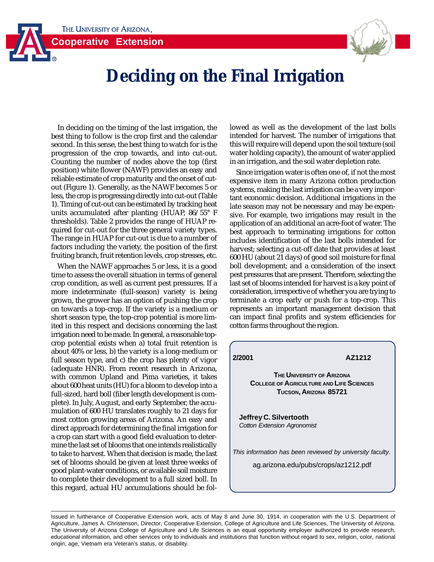**Cooperative Extension**



## **Deciding on the Final Irrigation**

In deciding on the timing of the last irrigation, the best thing to follow is the crop first and the calendar second. In this sense, the best thing to watch for is the progression of the crop towards, and into cut-out. Counting the number of nodes above the top (first position) white flower (NAWF) provides an easy and reliable estimate of crop maturity and the onset of cutout (Figure 1). Generally, as the NAWF becomes 5 or less, the crop is progressing directly into cut-out (Table 1). Timing of cut-out can be estimated by tracking heat units accumulated after planting (HUAP, 86/55° F thresholds). Table 2 provides the range of HUAP required for cut-out for the three general variety types. The range in HUAP for cut-out is due to a number of factors including the variety, the position of the first fruiting branch, fruit retention levels, crop stresses, etc.

When the NAWF approaches 5 or less, it is a good time to assess the overall situation in terms of general crop condition, as well as current pest pressures. If a more indeterminate (full-season) variety is being grown, the grower has an option of pushing the crop on towards a top-crop. If the variety is a medium or short season type, the top-crop potential is more limited in this respect and decisions concerning the last irrigation need to be made. In general, a reasonable topcrop potential exists when a) total fruit retention is about 40% or less, b) the variety is a long-medium or full season type, and c) the crop has plenty of vigor (adequate HNR). From recent research in Arizona, with common Upland and Pima varieties, it takes about 600 heat units (HU) for a bloom to develop into a full-sized, hard boll (fiber length development is complete). In July, August, and early September, the accumulation of 600 HU translates roughly to 21 days for most cotton growing areas of Arizona. An easy and direct approach for determining the final irrigation for a crop can start with a good field evaluation to determine the last set of blooms that one intends realistically to take to harvest. When that decision is made, the last set of blooms should be given at least three weeks of good plant-water conditions, or available soil moisture to complete their development to a full sized boll. In this regard, actual HU accumulations should be followed as well as the development of the last bolls intended for harvest. The number of irrigations that this will require will depend upon the soil texture (soil water holding capacity), the amount of water applied in an irrigation, and the soil water depletion rate.

Since irrigation water is often one of, if not the most expensive item in many Arizona cotton production systems, making the last irrigation can be a very important economic decision. Additional irrigations in the late season may not be necessary and may be expensive. For example, two irrigations may result in the application of an additional an acre-foot of water. The best approach to terminating irrigations for cotton includes identification of the last bolls intended for harvest; selecting a cut-off date that provides at least 600 HU (about 21 days) of good soil moisture for final boll development; and a consideration of the insect pest pressures that are present. Therefore, selecting the last set of blooms intended for harvest is a key point of consideration, irrespective of whether you are trying to terminate a crop early or push for a top-crop. This represents an important management decision that can impact final profits and system efficiencies for cotton farms throughout the region.

**2/2001 AZ1212**

**THE UNIVERSITY OF ARIZONA COLLEGE OF AGRICULTURE AND LIFE SCIENCES TUCSON, ARIZONA 85721**

**Jeffrey C. Silvertooth** Cotton Extension Agronomist

This information has been reviewed by university faculty.

ag.arizona.edu/pubs/crops/az1212.pdf

Issued in furtherance of Cooperative Extension work, acts of May 8 and June 30, 1914, in cooperation with the U.S. Department of Agriculture, James A. Christenson, Director, Cooperative Extension, College of Agriculture and Life Sciences, The University of Arizona. The University of Arizona College of Agriculture and Life Sciences is an equal opportunity employer authorized to provide research, educational information, and other services only to individuals and institutions that function without regard to sex, religion, color, national origin, age, Vietnam era Veteran's status, or disability.